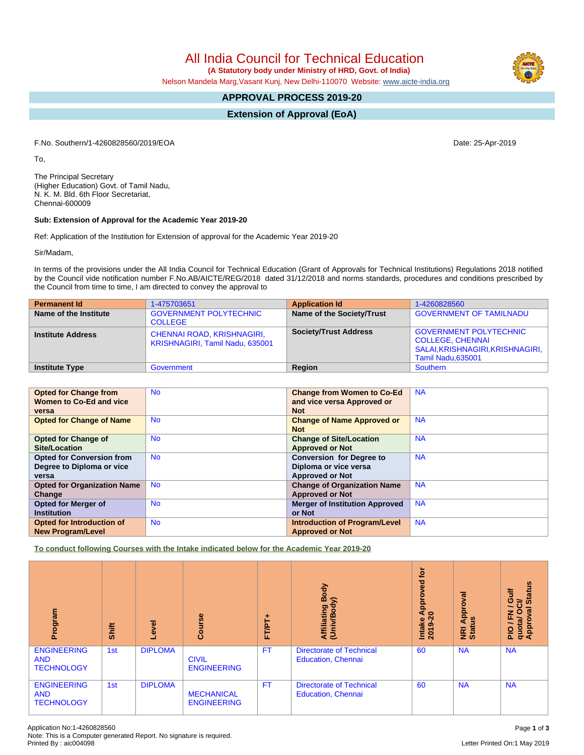All India Council for Technical Education

 **(A Statutory body under Ministry of HRD, Govt. of India)**

Nelson Mandela Marg,Vasant Kunj, New Delhi-110070 Website: [www.aicte-india.org](http://www.aicte-india.org)

# **APPROVAL PROCESS 2019-20**

**Extension of Approval (EoA)**

F.No. Southern/1-4260828560/2019/EOA Date: 25-Apr-2019

To,

The Principal Secretary (Higher Education) Govt. of Tamil Nadu, N. K. M. Bld. 6th Floor Secretariat, Chennai-600009

### **Sub: Extension of Approval for the Academic Year 2019-20**

Ref: Application of the Institution for Extension of approval for the Academic Year 2019-20

Sir/Madam,

In terms of the provisions under the All India Council for Technical Education (Grant of Approvals for Technical Institutions) Regulations 2018 notified by the Council vide notification number F.No.AB/AICTE/REG/2018 dated 31/12/2018 and norms standards, procedures and conditions prescribed by the Council from time to time, I am directed to convey the approval to

| <b>Permanent Id</b>      | 1-475703651                                                          | <b>Application Id</b>        | 1-4260828560                                                                                                       |
|--------------------------|----------------------------------------------------------------------|------------------------------|--------------------------------------------------------------------------------------------------------------------|
| Name of the Institute    | <b>GOVERNMENT POLYTECHNIC</b><br><b>COLLEGE</b>                      | Name of the Society/Trust    | <b>GOVERNMENT OF TAMILNADU</b>                                                                                     |
| <b>Institute Address</b> | <b>CHENNAI ROAD, KRISHNAGIRI,</b><br>KRISHNAGIRI, Tamil Nadu, 635001 | <b>Society/Trust Address</b> | <b>GOVERNMENT POLYTECHNIC</b><br><b>COLLEGE, CHENNAI</b><br>SALAI, KRISHNAGIRI, KRISHNAGIRI,<br>Tamil Nadu, 635001 |
| <b>Institute Type</b>    | Government                                                           | Region                       | Southern                                                                                                           |

| <b>Opted for Change from</b>       | <b>No</b> | <b>Change from Women to Co-Ed</b>     | <b>NA</b> |
|------------------------------------|-----------|---------------------------------------|-----------|
| Women to Co-Ed and vice            |           | and vice versa Approved or            |           |
| versa                              |           | <b>Not</b>                            |           |
| <b>Opted for Change of Name</b>    | <b>No</b> | <b>Change of Name Approved or</b>     | <b>NA</b> |
|                                    |           | <b>Not</b>                            |           |
| <b>Opted for Change of</b>         | <b>No</b> | <b>Change of Site/Location</b>        | <b>NA</b> |
| <b>Site/Location</b>               |           | <b>Approved or Not</b>                |           |
| <b>Opted for Conversion from</b>   | <b>No</b> | <b>Conversion for Degree to</b>       | <b>NA</b> |
| Degree to Diploma or vice          |           | Diploma or vice versa                 |           |
| versa                              |           | <b>Approved or Not</b>                |           |
| <b>Opted for Organization Name</b> | <b>No</b> | <b>Change of Organization Name</b>    | <b>NA</b> |
| Change                             |           | <b>Approved or Not</b>                |           |
| <b>Opted for Merger of</b>         | <b>No</b> | <b>Merger of Institution Approved</b> | <b>NA</b> |
| <b>Institution</b>                 |           | or Not                                |           |
| <b>Opted for Introduction of</b>   | <b>No</b> | <b>Introduction of Program/Level</b>  | <b>NA</b> |
| <b>New Program/Level</b>           |           | <b>Approved or Not</b>                |           |

**To conduct following Courses with the Intake indicated below for the Academic Year 2019-20**

| rogram<br>ō                                           | Shift | Level          | Course                                  | FT/PT+    | Body<br>⋦<br>Affiliating<br>(Univ/Body                       | <b>b</b><br>yed<br>Approv<br>$\bullet$<br>Intake<br>2019 | roval<br>Appr<br>ಀ಼<br>NRI<br>Statu | <b>Status</b><br>Guif<br>ট<br>$\circ$<br>œ<br>z<br>Œ<br>quota/<br>Approv<br>$\frac{1}{2}$ |
|-------------------------------------------------------|-------|----------------|-----------------------------------------|-----------|--------------------------------------------------------------|----------------------------------------------------------|-------------------------------------|-------------------------------------------------------------------------------------------|
| <b>ENGINEERING</b><br><b>AND</b><br><b>TECHNOLOGY</b> | 1st   | <b>DIPLOMA</b> | <b>CIVIL</b><br><b>ENGINEERING</b>      | <b>FT</b> | <b>Directorate of Technical</b><br><b>Education, Chennai</b> | 60                                                       | <b>NA</b>                           | <b>NA</b>                                                                                 |
| <b>ENGINEERING</b><br><b>AND</b><br><b>TECHNOLOGY</b> | 1st   | <b>DIPLOMA</b> | <b>MECHANICAL</b><br><b>ENGINEERING</b> | FT        | <b>Directorate of Technical</b><br><b>Education, Chennai</b> | 60                                                       | <b>NA</b>                           | <b>NA</b>                                                                                 |

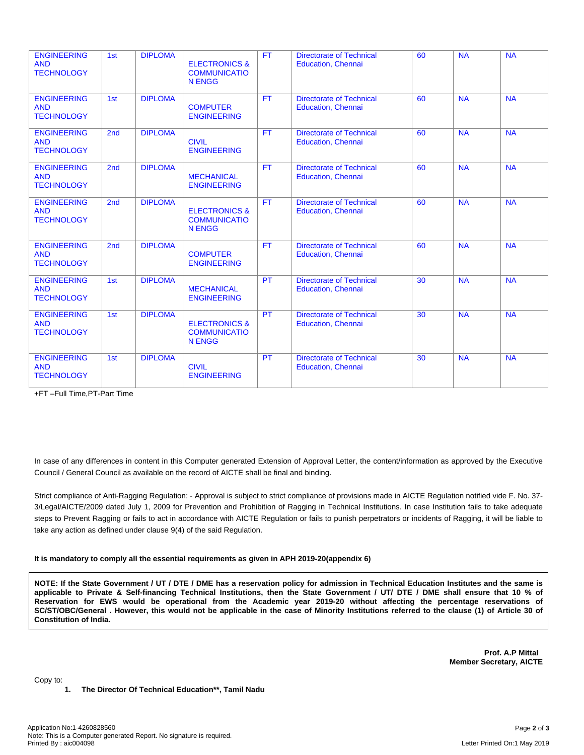| <b>ENGINEERING</b><br><b>AND</b><br><b>TECHNOLOGY</b> | 1st             | <b>DIPLOMA</b> | <b>ELECTRONICS &amp;</b><br><b>COMMUNICATIO</b><br><b>N ENGG</b> | <b>FT</b> | <b>Directorate of Technical</b><br><b>Education, Chennai</b> | 60 | <b>NA</b> | <b>NA</b> |
|-------------------------------------------------------|-----------------|----------------|------------------------------------------------------------------|-----------|--------------------------------------------------------------|----|-----------|-----------|
| <b>ENGINEERING</b><br><b>AND</b><br><b>TECHNOLOGY</b> | 1st             | <b>DIPLOMA</b> | <b>COMPUTER</b><br><b>ENGINEERING</b>                            | <b>FT</b> | <b>Directorate of Technical</b><br><b>Education, Chennai</b> | 60 | <b>NA</b> | <b>NA</b> |
| <b>ENGINEERING</b><br><b>AND</b><br><b>TECHNOLOGY</b> | 2nd             | <b>DIPLOMA</b> | <b>CIVIL</b><br><b>ENGINEERING</b>                               | <b>FT</b> | <b>Directorate of Technical</b><br><b>Education, Chennai</b> | 60 | <b>NA</b> | <b>NA</b> |
| <b>ENGINEERING</b><br><b>AND</b><br><b>TECHNOLOGY</b> | 2 <sub>nd</sub> | <b>DIPLOMA</b> | <b>MECHANICAL</b><br><b>ENGINEERING</b>                          | <b>FT</b> | <b>Directorate of Technical</b><br><b>Education, Chennai</b> | 60 | <b>NA</b> | <b>NA</b> |
| <b>ENGINEERING</b><br><b>AND</b><br><b>TECHNOLOGY</b> | 2nd             | <b>DIPLOMA</b> | <b>ELECTRONICS &amp;</b><br><b>COMMUNICATIO</b><br><b>N ENGG</b> | <b>FT</b> | <b>Directorate of Technical</b><br><b>Education, Chennai</b> | 60 | <b>NA</b> | NA        |
| <b>ENGINEERING</b><br><b>AND</b><br><b>TECHNOLOGY</b> | 2 <sub>nd</sub> | <b>DIPLOMA</b> | <b>COMPUTER</b><br><b>ENGINEERING</b>                            | <b>FT</b> | <b>Directorate of Technical</b><br><b>Education, Chennai</b> | 60 | <b>NA</b> | <b>NA</b> |
| <b>ENGINEERING</b><br><b>AND</b><br><b>TECHNOLOGY</b> | 1st             | <b>DIPLOMA</b> | <b>MECHANICAL</b><br><b>ENGINEERING</b>                          | <b>PT</b> | <b>Directorate of Technical</b><br><b>Education, Chennai</b> | 30 | <b>NA</b> | <b>NA</b> |
| <b>ENGINEERING</b><br><b>AND</b><br><b>TECHNOLOGY</b> | 1st             | <b>DIPLOMA</b> | <b>ELECTRONICS &amp;</b><br><b>COMMUNICATIO</b><br><b>N ENGG</b> | <b>PT</b> | <b>Directorate of Technical</b><br><b>Education, Chennai</b> | 30 | <b>NA</b> | <b>NA</b> |
| <b>ENGINEERING</b><br><b>AND</b><br><b>TECHNOLOGY</b> | 1st             | <b>DIPLOMA</b> | <b>CIVIL</b><br><b>ENGINEERING</b>                               | <b>PT</b> | <b>Directorate of Technical</b><br><b>Education, Chennai</b> | 30 | <b>NA</b> | <b>NA</b> |

+FT –Full Time,PT-Part Time

In case of any differences in content in this Computer generated Extension of Approval Letter, the content/information as approved by the Executive Council / General Council as available on the record of AICTE shall be final and binding.

Strict compliance of Anti-Ragging Regulation: - Approval is subject to strict compliance of provisions made in AICTE Regulation notified vide F. No. 37- 3/Legal/AICTE/2009 dated July 1, 2009 for Prevention and Prohibition of Ragging in Technical Institutions. In case Institution fails to take adequate steps to Prevent Ragging or fails to act in accordance with AICTE Regulation or fails to punish perpetrators or incidents of Ragging, it will be liable to take any action as defined under clause 9(4) of the said Regulation.

#### **It is mandatory to comply all the essential requirements as given in APH 2019-20(appendix 6)**

NOTE: If the State Government / UT / DTE / DME has a reservation policy for admission in Technical Education Institutes and the same is applicable to Private & Self-financing Technical Institutions, then the State Government / UT/ DTE / DME shall ensure that 10 % of Reservation for EWS would be operational from the Academic year 2019-20 without affecting the percentage reservations of SC/ST/OBC/General . However, this would not be applicable in the case of Minority Institutions referred to the clause (1) of Article 30 of **Constitution of India.**

> **Prof. A.P Mittal Member Secretary, AICTE**

**1. The Director Of Technical Education\*\*, Tamil Nadu**